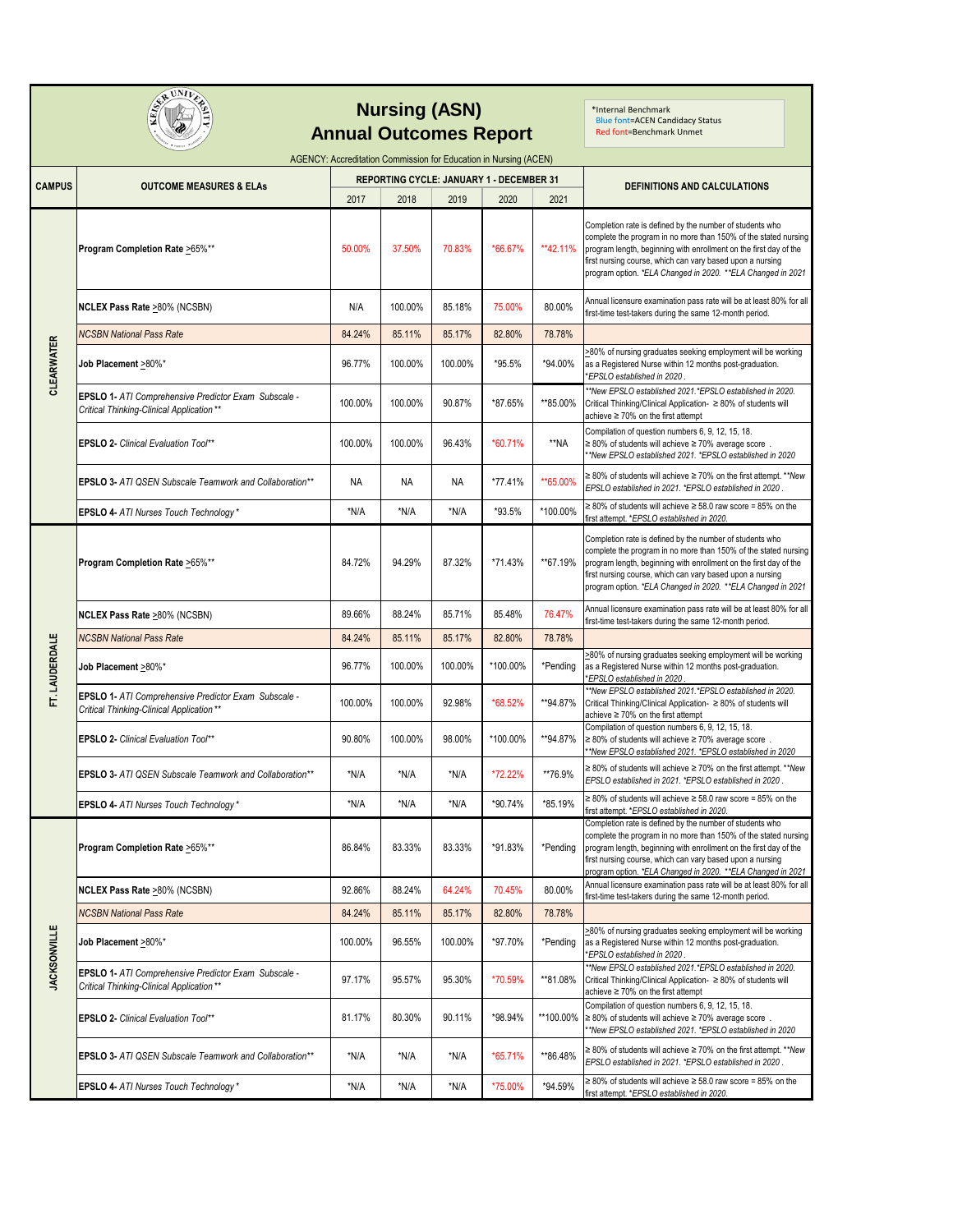|                     | SPEUNILE<br><b>Annual Outcomes Report</b>                                                         | *Internal Benchmark<br><b>Blue font=ACEN Candidacy Status</b><br>Red font=Benchmark Unmet |                                                  |         |          |           |                                                                                                                                                                                                                                                                                                                              |
|---------------------|---------------------------------------------------------------------------------------------------|-------------------------------------------------------------------------------------------|--------------------------------------------------|---------|----------|-----------|------------------------------------------------------------------------------------------------------------------------------------------------------------------------------------------------------------------------------------------------------------------------------------------------------------------------------|
|                     | AGENCY: Accreditation Commission for Education in Nursing (ACEN)                                  |                                                                                           |                                                  |         |          |           |                                                                                                                                                                                                                                                                                                                              |
| <b>CAMPUS</b>       | <b>OUTCOME MEASURES &amp; ELAS</b>                                                                | 2017                                                                                      | REPORTING CYCLE: JANUARY 1 - DECEMBER 31<br>2018 | 2019    | 2020     | 2021      | DEFINITIONS AND CALCULATIONS                                                                                                                                                                                                                                                                                                 |
|                     | Program Completion Rate >65%**                                                                    | 50.00%                                                                                    | 37.50%                                           | 70.83%  | *66.67%  | **42.11%  | Completion rate is defined by the number of students who<br>complete the program in no more than 150% of the stated nursing<br>program length, beginning with enrollment on the first day of the<br>first nursing course, which can vary based upon a nursing<br>program option. *ELA Changed in 2020. **ELA Changed in 2021 |
|                     | NCLEX Pass Rate >80% (NCSBN)                                                                      | N/A                                                                                       | 100.00%                                          | 85.18%  | 75.00%   | 80.00%    | Annual licensure examination pass rate will be at least 80% for all<br>first-time test-takers during the same 12-month period.                                                                                                                                                                                               |
|                     | <b>NCSBN National Pass Rate</b>                                                                   | 84.24%                                                                                    | 85.11%                                           | 85.17%  | 82.80%   | 78.78%    |                                                                                                                                                                                                                                                                                                                              |
| <b>CLEARWATER</b>   | Job Placement >80%*                                                                               | 96.77%                                                                                    | 100.00%                                          | 100.00% | *95.5%   | *94.00%   | >80% of nursing graduates seeking employment will be working<br>as a Registered Nurse within 12 months post-graduation.<br>*EPSLO established in 2020.                                                                                                                                                                       |
|                     | EPSLO 1- ATI Comprehensive Predictor Exam Subscale -<br>Critical Thinking-Clinical Application ** | 100.00%                                                                                   | 100.00%                                          | 90.87%  | *87.65%  | **85.00%  | *New EPSLO established 2021.*EPSLO established in 2020.<br>Critical Thinking/Clinical Application- ≥ 80% of students will<br>achieve $\geq 70\%$ on the first attempt                                                                                                                                                        |
|                     | EPSLO 2- Clinical Evaluation Tool**                                                               | 100.00%                                                                                   | 100.00%                                          | 96.43%  | *60.71%  | **NA      | Compilation of question numbers 6, 9, 12, 15, 18.<br>$\geq$ 80% of students will achieve $\geq$ 70% average score.<br>*New EPSLO established 2021. *EPSLO established in 2020                                                                                                                                                |
|                     | <b>EPSLO 3- ATI QSEN Subscale Teamwork and Collaboration**</b>                                    | <b>NA</b>                                                                                 | NA                                               | NA      | *77.41%  | **65.00%  | ≥ 80% of students will achieve ≥ 70% on the first attempt. ** New<br>EPSLO established in 2021. *EPSLO established in 2020.                                                                                                                                                                                                  |
|                     | EPSLO 4- ATI Nurses Touch Technology*                                                             | *N/A                                                                                      | *N/A                                             | *N/A    | *93.5%   | *100.00%  | ≥ 80% of students will achieve ≥ 58.0 raw score = 85% on the<br>first attempt. *EPSLO established in 2020.                                                                                                                                                                                                                   |
|                     | Program Completion Rate >65%**                                                                    | 84.72%                                                                                    | 94.29%                                           | 87.32%  | *71.43%  | **67.19%  | Completion rate is defined by the number of students who<br>complete the program in no more than 150% of the stated nursing<br>program length, beginning with enrollment on the first day of the<br>first nursing course, which can vary based upon a nursing<br>program option. *ELA Changed in 2020. **ELA Changed in 2021 |
|                     | NCLEX Pass Rate >80% (NCSBN)                                                                      | 89.66%                                                                                    | 88.24%                                           | 85.71%  | 85.48%   | 76.47%    | Annual licensure examination pass rate will be at least 80% for all<br>first-time test-takers during the same 12-month period.                                                                                                                                                                                               |
|                     | <b>NCSBN National Pass Rate</b>                                                                   | 84.24%                                                                                    | 85.11%                                           | 85.17%  | 82.80%   | 78.78%    |                                                                                                                                                                                                                                                                                                                              |
| FT. LAUDERDALE      | Job Placement >80%*                                                                               | 96.77%                                                                                    | 100.00%                                          | 100.00% | *100.00% | *Pending  | >80% of nursing graduates seeking employment will be working<br>as a Registered Nurse within 12 months post-graduation.<br>EPSLO established in 2020                                                                                                                                                                         |
|                     | EPSLO 1- ATI Comprehensive Predictor Exam Subscale -<br>Critical Thinking-Clinical Application ** | 100.00%                                                                                   | 100.00%                                          | 92.98%  | *68.52%  | **94.87%  | *New EPSLO established 2021.*EPSLO established in 2020.<br>Critical Thinking/Clinical Application- ≥ 80% of students will<br>achieve ≥ 70% on the first attempt                                                                                                                                                              |
|                     | EPSLO 2- Clinical Evaluation Tool**                                                               | 90.80%                                                                                    | 100.00%                                          | 98.00%  | *100.00% | **94.87%  | Compilation of question numbers 6, 9, 12, 15, 18.<br>$\geq$ 80% of students will achieve $\geq$ 70% average score.<br>*New EPSLO established 2021. *EPSLO established in 2020                                                                                                                                                |
|                     | <b>EPSLO 3- ATI QSEN Subscale Teamwork and Collaboration**</b>                                    | *N/A                                                                                      | *N/A                                             | *N/A    | *72.22%  | **76.9%   | $\geq$ 80% of students will achieve $\geq$ 70% on the first attempt. ** New<br>EPSLO established in 2021. *EPSLO established in 2020                                                                                                                                                                                         |
|                     | EPSLO 4- ATI Nurses Touch Technology*                                                             | *N/A                                                                                      | *N/A                                             | *N/A    | *90.74%  | *85.19%   | $\geq$ 80% of students will achieve $\geq$ 58.0 raw score = 85% on the<br>first attempt. *EPSLO established in 2020.                                                                                                                                                                                                         |
|                     | Program Completion Rate >65%**                                                                    | 86.84%                                                                                    | 83.33%                                           | 83.33%  | *91.83%  | *Pending  | Completion rate is defined by the number of students who<br>complete the program in no more than 150% of the stated nursing<br>program length, beginning with enrollment on the first day of the<br>first nursing course, which can vary based upon a nursing<br>program option. *ELA Changed in 2020. **ELA Changed in 2021 |
|                     | <b>NCLEX Pass Rate &gt;80% (NCSBN)</b>                                                            | 92.86%                                                                                    | 88.24%                                           | 64.24%  | 70.45%   | 80.00%    | Annual licensure examination pass rate will be at least 80% for all<br>first-time test-takers during the same 12-month period.                                                                                                                                                                                               |
|                     | <b>NCSBN National Pass Rate</b>                                                                   | 84.24%                                                                                    | 85.11%                                           | 85.17%  | 82.80%   | 78.78%    |                                                                                                                                                                                                                                                                                                                              |
| <b>JACKSONVILLE</b> | Job Placement >80%*                                                                               | 100.00%                                                                                   | 96.55%                                           | 100.00% | *97.70%  | *Pendina  | >80% of nursing graduates seeking employment will be working<br>as a Registered Nurse within 12 months post-graduation.<br>*EPSLO established in 2020.                                                                                                                                                                       |
|                     | EPSLO 1- ATI Comprehensive Predictor Exam Subscale -<br>Critical Thinking-Clinical Application**  | 97.17%                                                                                    | 95.57%                                           | 95.30%  | *70.59%  | **81.08%  | **New EPSLO established 2021.*EPSLO established in 2020.<br>Critical Thinking/Clinical Application- ≥ 80% of students will<br>achieve $\geq 70\%$ on the first attempt                                                                                                                                                       |
|                     | EPSLO 2- Clinical Evaluation Tool**                                                               | 81.17%                                                                                    | 80.30%                                           | 90.11%  | *98.94%  | **100.00% | Compilation of question numbers 6, 9, 12, 15, 18.<br>$\geq$ 80% of students will achieve $\geq$ 70% average score.<br>*New EPSLO established 2021. *EPSLO established in 2020                                                                                                                                                |
|                     | EPSLO 3- ATI QSEN Subscale Teamwork and Collaboration**                                           | *N/A                                                                                      | *N/A                                             | *N/A    | *65.71%  | **86.48%  | ≥ 80% of students will achieve ≥ 70% on the first attempt. ** New<br>EPSLO established in 2021. *EPSLO established in 2020.                                                                                                                                                                                                  |
|                     | EPSLO 4- ATI Nurses Touch Technology*                                                             | *N/A                                                                                      | *N/A                                             | *N/A    | *75.00%  | *94.59%   | $\geq$ 80% of students will achieve $\geq$ 58.0 raw score = 85% on the<br>first attempt. *EPSLO established in 2020.                                                                                                                                                                                                         |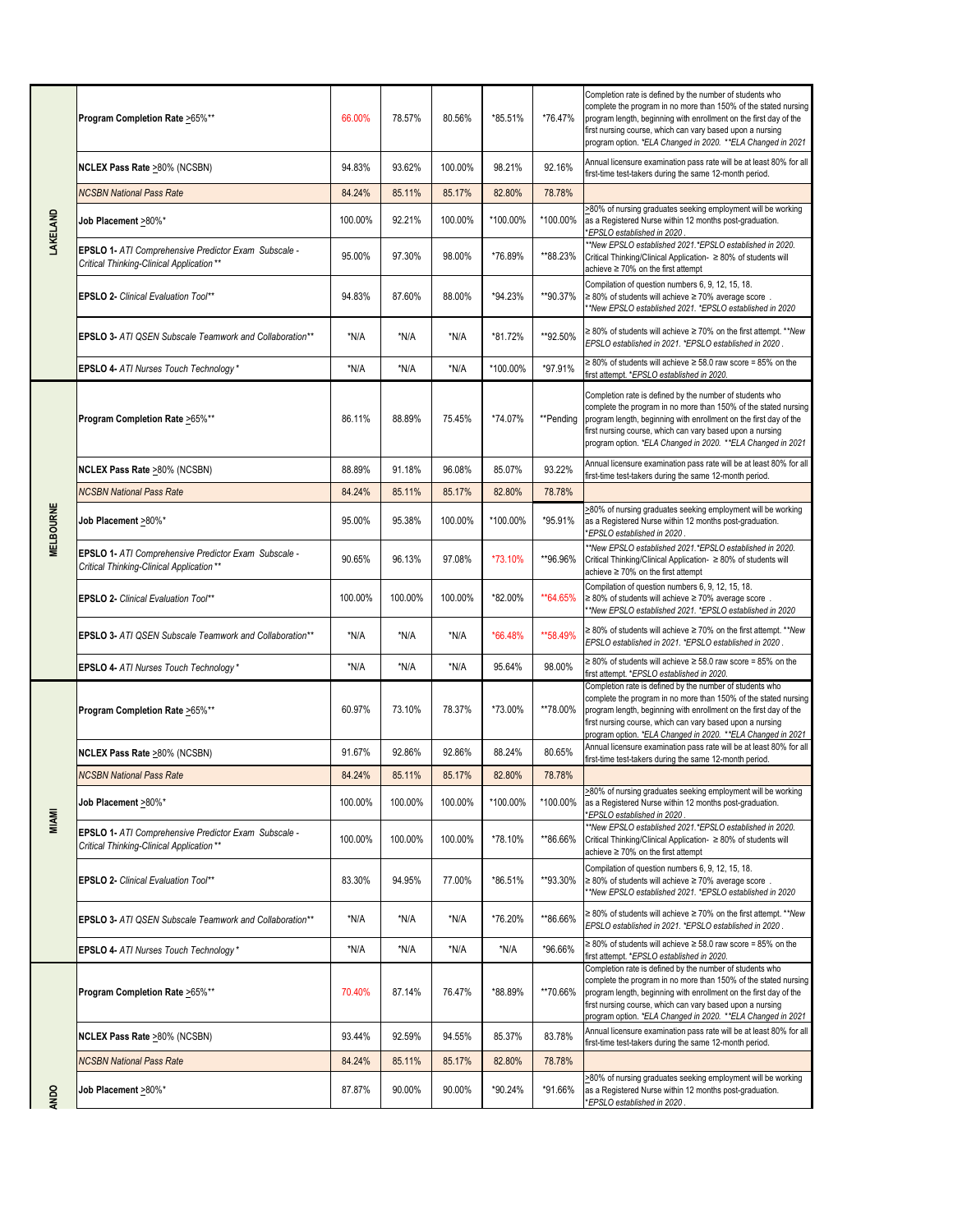|             | Program Completion Rate >65%**                                                                    | 66.00%  | 78.57%  | 80.56%  | *85.51%  | *76.47%   | Completion rate is defined by the number of students who<br>complete the program in no more than 150% of the stated nursing<br>program length, beginning with enrollment on the first day of the<br>first nursing course, which can vary based upon a nursing<br>program option. *ELA Changed in 2020. **ELA Changed in 2021   |
|-------------|---------------------------------------------------------------------------------------------------|---------|---------|---------|----------|-----------|--------------------------------------------------------------------------------------------------------------------------------------------------------------------------------------------------------------------------------------------------------------------------------------------------------------------------------|
|             | NCLEX Pass Rate >80% (NCSBN)                                                                      | 94.83%  | 93.62%  | 100.00% | 98.21%   | 92.16%    | Annual licensure examination pass rate will be at least 80% for all<br>first-time test-takers during the same 12-month period.                                                                                                                                                                                                 |
|             | <b>NCSBN National Pass Rate</b>                                                                   | 84.24%  | 85.11%  | 85.17%  | 82.80%   | 78.78%    |                                                                                                                                                                                                                                                                                                                                |
| LAKELAND    | Job Placement >80%*                                                                               | 100.00% | 92.21%  | 100.00% | *100.00% | *100.00%  | >80% of nursing graduates seeking employment will be working<br>as a Registered Nurse within 12 months post-graduation.<br>*EPSLO established in 2020                                                                                                                                                                          |
|             | EPSLO 1- ATI Comprehensive Predictor Exam Subscale -<br>Critical Thinking-Clinical Application ** | 95.00%  | 97.30%  | 98.00%  | *76.89%  | **88.23%  | **New EPSLO established 2021.*EPSLO established in 2020.<br>Critical Thinking/Clinical Application- ≥ 80% of students will<br>achieve $\geq 70\%$ on the first attempt                                                                                                                                                         |
|             | <b>EPSLO 2- Clinical Evaluation Tool**</b>                                                        | 94.83%  | 87.60%  | 88.00%  | *94.23%  | **90.37%  | Compilation of question numbers 6, 9, 12, 15, 18.<br>$\geq$ 80% of students will achieve $\geq$ 70% average score.<br>*New EPSLO established 2021. *EPSLO established in 2020                                                                                                                                                  |
|             | <b>EPSLO 3- ATI QSEN Subscale Teamwork and Collaboration**</b>                                    | *N/A    | *N/A    | *N/A    | *81.72%  | **92.50%  | $\geq$ 80% of students will achieve $\geq$ 70% on the first attempt. ** New<br>EPSLO established in 2021. *EPSLO established in 2020.                                                                                                                                                                                          |
|             | EPSLO 4- ATI Nurses Touch Technology*                                                             | *N/A    | $*N/A$  | *N/A    | *100.00% | *97.91%   | $\geq$ 80% of students will achieve $\geq$ 58.0 raw score = 85% on the<br>first attempt. *EPSLO established in 2020.                                                                                                                                                                                                           |
|             | Program Completion Rate >65%**                                                                    | 86.11%  | 88.89%  | 75.45%  | *74.07%  | **Pending | Completion rate is defined by the number of students who<br>complete the program in no more than 150% of the stated nursing<br>program length, beginning with enrollment on the first day of the<br>first nursing course, which can vary based upon a nursing<br>program option. *ELA Changed in 2020. **ELA Changed in 2021   |
|             | NCLEX Pass Rate >80% (NCSBN)                                                                      | 88.89%  | 91.18%  | 96.08%  | 85.07%   | 93.22%    | Annual licensure examination pass rate will be at least 80% for all<br>first-time test-takers during the same 12-month period.                                                                                                                                                                                                 |
|             | <b>NCSBN National Pass Rate</b>                                                                   | 84.24%  | 85.11%  | 85.17%  | 82.80%   | 78.78%    |                                                                                                                                                                                                                                                                                                                                |
| MELBOURNE   | Job Placement >80%*                                                                               | 95.00%  | 95.38%  | 100.00% | *100.00% | *95.91%   | >80% of nursing graduates seeking employment will be working<br>as a Registered Nurse within 12 months post-graduation.<br>*EPSLO established in 2020                                                                                                                                                                          |
|             | EPSLO 1- ATI Comprehensive Predictor Exam Subscale -<br>Critical Thinking-Clinical Application ** | 90.65%  | 96.13%  | 97.08%  | *73.10%  | **96.96%  | *New EPSLO established 2021.*EPSLO established in 2020.<br>Critical Thinking/Clinical Application- ≥ 80% of students will<br>achieve ≥ 70% on the first attempt                                                                                                                                                                |
|             | <b>EPSLO 2- Clinical Evaluation Tool**</b>                                                        | 100.00% | 100.00% | 100.00% | *82.00%  | **64.65%  | Compilation of question numbers 6, 9, 12, 15, 18.<br>$\geq$ 80% of students will achieve $\geq$ 70% average score.<br>**New EPSLO established 2021. *EPSLO established in 2020                                                                                                                                                 |
|             | EPSLO 3- ATI QSEN Subscale Teamwork and Collaboration**                                           | *N/A    | *N/A    | *N/A    | *66.48%  | **58.49%  | ≥ 80% of students will achieve ≥ 70% on the first attempt. ** New<br>EPSLO established in 2021. *EPSLO established in 2020.                                                                                                                                                                                                    |
|             | EPSLO 4- ATI Nurses Touch Technology*                                                             | *N/A    | $*N/A$  | *N/A    | 95.64%   | 98.00%    | $\geq$ 80% of students will achieve $\geq$ 58.0 raw score = 85% on the<br>first attempt. *EPSLO established in 2020.                                                                                                                                                                                                           |
|             | Program Completion Rate >65%**                                                                    | 60.97%  | 73.10%  | 78.37%  | *73.00%  | **78.00%  | Completion rate is defined by the number of students who<br>complete the program in no more than 150% of the stated nursing<br>program length, beginning with enrollment on the first day of the<br>first nursing course, which can vary based upon a nursing<br>program option. *ELA Changed in 2020. **ELA Changed in 2021   |
|             | NCLEX Pass Rate >80% (NCSBN)                                                                      | 91.67%  | 92.86%  | 92.86%  | 88.24%   | 80.65%    | Annual licensure examination pass rate will be at least 80% for all<br>first-time test-takers during the same 12-month period.                                                                                                                                                                                                 |
|             | <b>NCSBN National Pass Rate</b>                                                                   | 84.24%  | 85.11%  | 85.17%  | 82.80%   | 78.78%    |                                                                                                                                                                                                                                                                                                                                |
| MIAMI       | Job Placement >80%*                                                                               | 100.00% | 100.00% | 100.00% | *100.00% | *100.00%  | >80% of nursing graduates seeking employment will be working<br>as a Registered Nurse within 12 months post-graduation.<br>EPSLO established in 2020*                                                                                                                                                                          |
|             | EPSLO 1- ATI Comprehensive Predictor Exam Subscale -<br>Critical Thinking-Clinical Application ** | 100.00% | 100.00% | 100.00% | *78.10%  | **86.66%  | *New EPSLO established 2021.*EPSLO established in 2020.<br>Critical Thinking/Clinical Application- ≥ 80% of students will<br>achieve $\geq 70\%$ on the first attempt                                                                                                                                                          |
|             | <b>EPSLO 2- Clinical Evaluation Tool**</b>                                                        | 83.30%  | 94.95%  | 77.00%  | *86.51%  | **93.30%  | Compilation of question numbers 6, 9, 12, 15, 18.<br>$\geq$ 80% of students will achieve $\geq$ 70% average score.<br>*New EPSLO established 2021. *EPSLO established in 2020                                                                                                                                                  |
|             | EPSLO 3- ATI QSEN Subscale Teamwork and Collaboration**                                           | *N/A    | *N/A    | *N/A    | *76.20%  | **86.66%  | $\geq$ 80% of students will achieve $\geq$ 70% on the first attempt. ** New<br>EPSLO established in 2021. *EPSLO established in 2020.                                                                                                                                                                                          |
|             | <b>EPSLO 4- ATI Nurses Touch Technology*</b>                                                      | *N/A    | *N/A    | *N/A    | *N/A     | *96.66%   | ≥ 80% of students will achieve ≥ 58.0 raw score = 85% on the<br>first attempt. *EPSLO established in 2020.                                                                                                                                                                                                                     |
|             | Program Completion Rate >65%**                                                                    | 70.40%  | 87.14%  | 76.47%  | *88.89%  | **70.66%  | Completion rate is defined by the number of students who<br>complete the program in no more than 150% of the stated nursing<br>program length, beginning with enrollment on the first day of the<br>first nursing course, which can vary based upon a nursing<br>program option. * ELA Changed in 2020. ** ELA Changed in 2021 |
|             | NCLEX Pass Rate >80% (NCSBN)                                                                      | 93.44%  | 92.59%  | 94.55%  | 85.37%   | 83.78%    | Annual licensure examination pass rate will be at least 80% for all<br>first-time test-takers during the same 12-month period.                                                                                                                                                                                                 |
|             | <b>NCSBN National Pass Rate</b>                                                                   | 84.24%  | 85.11%  | 85.17%  | 82.80%   | 78.78%    |                                                                                                                                                                                                                                                                                                                                |
| <b>ANDO</b> | Job Placement >80%*                                                                               | 87.87%  | 90.00%  | 90.00%  | *90.24%  | *91.66%   | >80% of nursing graduates seeking employment will be working<br>as a Registered Nurse within 12 months post-graduation.<br>*EPSLO established in 2020.                                                                                                                                                                         |
|             |                                                                                                   |         |         |         |          |           |                                                                                                                                                                                                                                                                                                                                |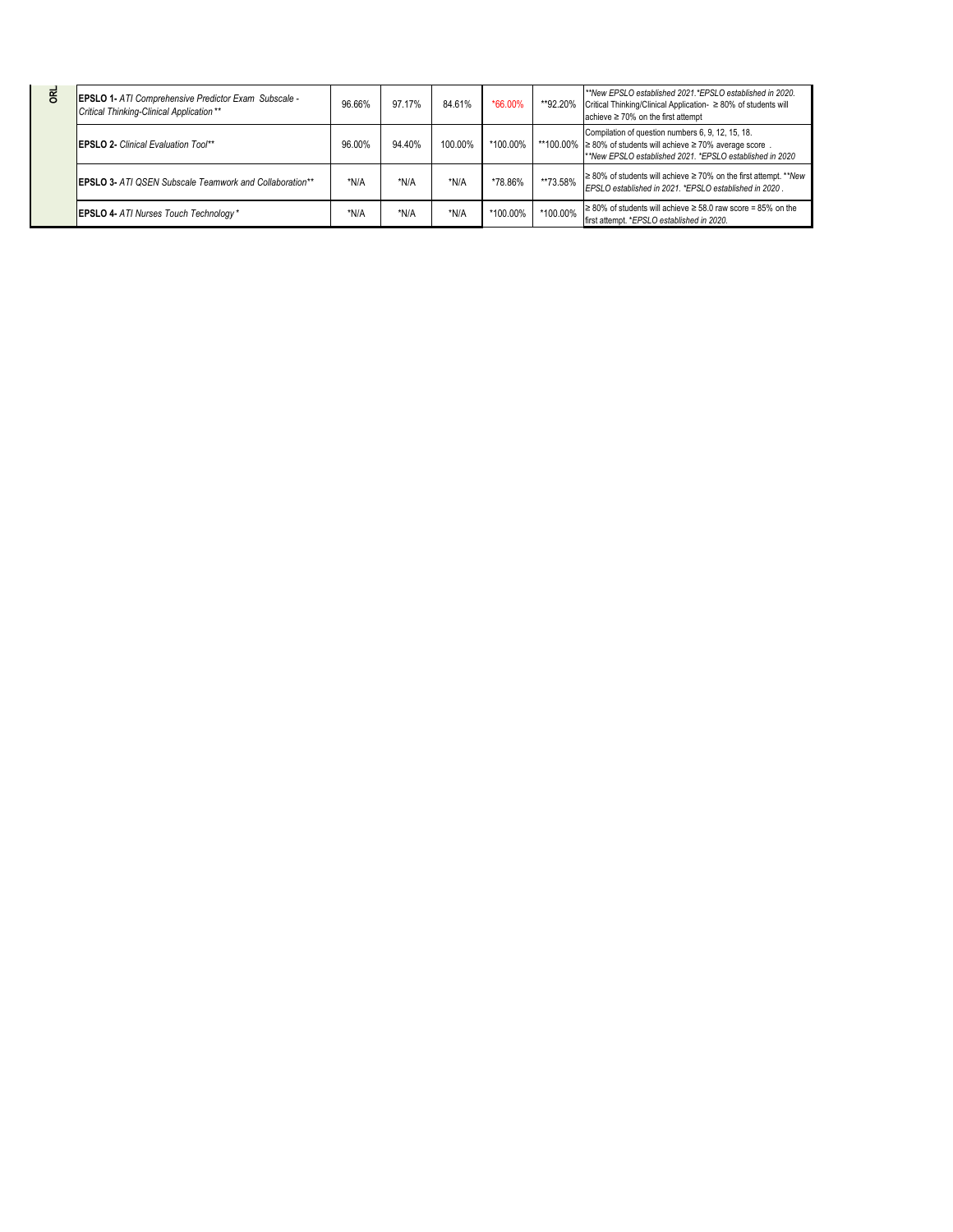| <b>DRL</b> | <b>EPSLO 1- ATI Comprehensive Predictor Exam Subscale -</b><br>Critical Thinking-Clinical Application** | 96.66% | 97.17% | 84.61%  | *66.00%  | **92.20% | **New EPSLO established 2021 *EPSLO established in 2020.<br>Critical Thinking/Clinical Application- ≥ 80% of students will<br>achieve $\geq 70\%$ on the first attempt                     |
|------------|---------------------------------------------------------------------------------------------------------|--------|--------|---------|----------|----------|--------------------------------------------------------------------------------------------------------------------------------------------------------------------------------------------|
|            | <b>IEPSLO 2- Clinical Evaluation Tool**</b>                                                             | 96.00% | 94.40% | 100.00% | *100.00% |          | Compilation of question numbers 6, 9, 12, 15, 18.<br>**100.00% $\geq 80\%$ of students will achieve $\geq 70\%$ average score.<br>**New EPSLO established 2021, *EPSLO established in 2020 |
|            | <b>IEPSLO 3- ATI OSEN Subscale Teamwork and Collaboration**</b>                                         | *N/A   | *N/A   | *N/A    | *78.86%  | **73.58% | $\geq$ 80% of students will achieve $\geq$ 70% on the first attempt. ** New<br>EPSLO established in 2021. *EPSLO established in 2020.                                                      |
|            | <b>EPSLO 4- ATI Nurses Touch Technology*</b>                                                            | *N/A   | *N/A   | *N/A    | *100.00% | *100.00% | $\geq 80\%$ of students will achieve $\geq 58.0$ raw score = 85% on the<br>first attempt. *EPSLO established in 2020.                                                                      |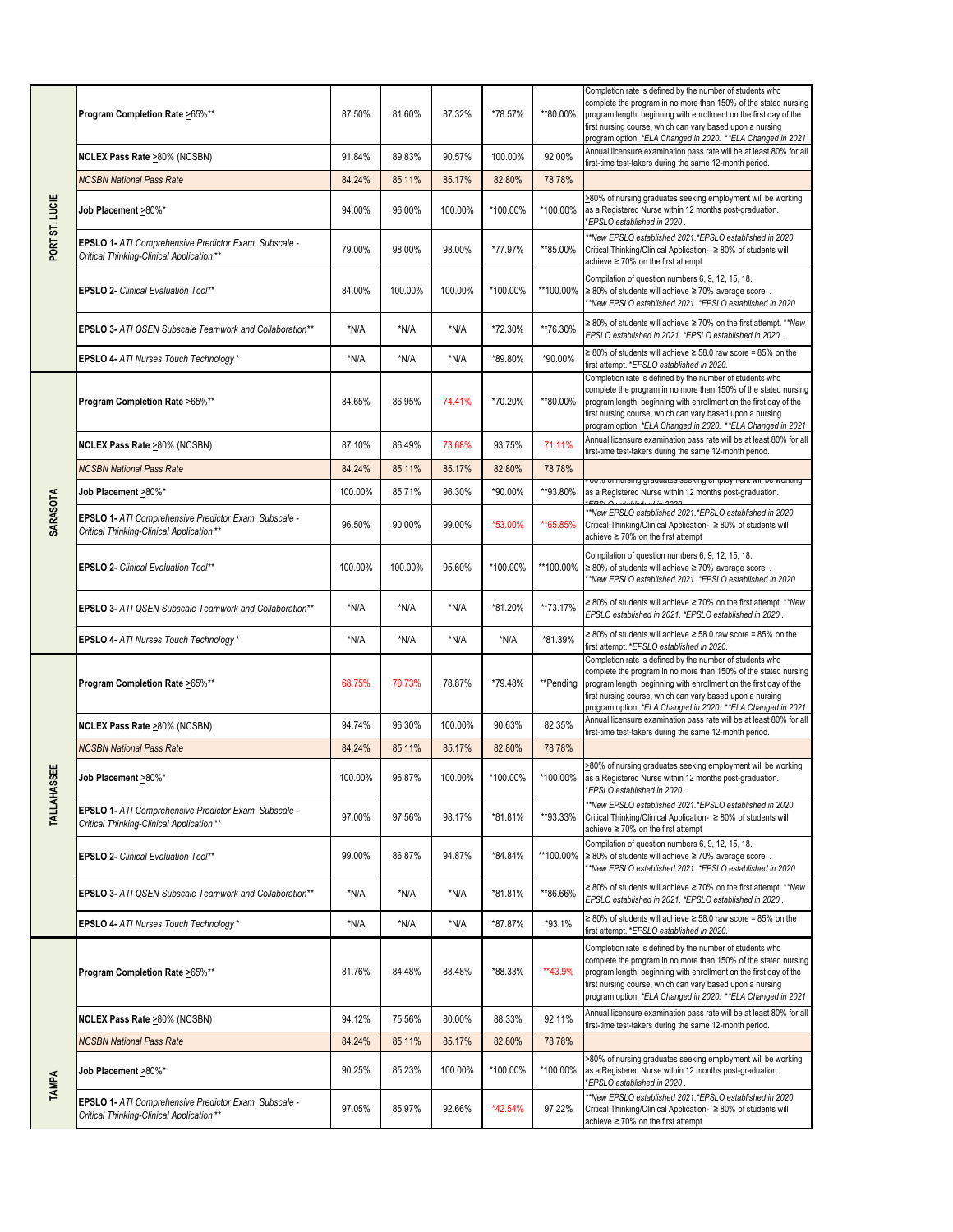|                    | Program Completion Rate >65%**                                                                    | 87.50%  | 81.60%  | 87.32%  | *78.57%  | **80.00%  | Completion rate is defined by the number of students who<br>complete the program in no more than 150% of the stated nursing<br>program length, beginning with enrollment on the first day of the<br>first nursing course, which can vary based upon a nursing<br>program option. *ELA Changed in 2020. **ELA Changed in 2021 |
|--------------------|---------------------------------------------------------------------------------------------------|---------|---------|---------|----------|-----------|------------------------------------------------------------------------------------------------------------------------------------------------------------------------------------------------------------------------------------------------------------------------------------------------------------------------------|
|                    | NCLEX Pass Rate >80% (NCSBN)                                                                      | 91.84%  | 89.83%  | 90.57%  | 100.00%  | 92.00%    | Annual licensure examination pass rate will be at least 80% for all<br>first-time test-takers during the same 12-month period.                                                                                                                                                                                               |
|                    | <b>NCSBN National Pass Rate</b>                                                                   | 84.24%  | 85.11%  | 85.17%  | 82.80%   | 78.78%    |                                                                                                                                                                                                                                                                                                                              |
| PORT ST. LUCIE     | Job Placement >80%*                                                                               | 94.00%  | 96.00%  | 100.00% | *100.00% | *100.00%  | >80% of nursing graduates seeking employment will be working<br>as a Registered Nurse within 12 months post-graduation.<br>*EPSLO established in 2020.                                                                                                                                                                       |
|                    | EPSLO 1- ATI Comprehensive Predictor Exam Subscale -<br>Critical Thinking-Clinical Application ** | 79.00%  | 98.00%  | 98.00%  | *77.97%  | **85.00%  | **New EPSLO established 2021.*EPSLO established in 2020.<br>Critical Thinking/Clinical Application- ≥ 80% of students will<br>achieve $\geq 70\%$ on the first attempt                                                                                                                                                       |
|                    | <b>EPSLO 2- Clinical Evaluation Tool**</b>                                                        | 84.00%  | 100.00% | 100.00% | *100.00% | **100.00% | Compilation of question numbers 6, 9, 12, 15, 18.<br>$\geq$ 80% of students will achieve $\geq$ 70% average score.<br>**New EPSLO established 2021. *EPSLO established in 2020                                                                                                                                               |
|                    | <b>EPSLO 3- ATI QSEN Subscale Teamwork and Collaboration**</b>                                    | *N/A    | *N/A    | *N/A    | *72.30%  | **76.30%  | ≥ 80% of students will achieve ≥ 70% on the first attempt. ** New<br>EPSLO established in 2021. *EPSLO established in 2020.                                                                                                                                                                                                  |
|                    | EPSLO 4- ATI Nurses Touch Technology*                                                             | *N/A    | *N/A    | *N/A    | *89.80%  | *90.00%   | $\geq$ 80% of students will achieve $\geq$ 58.0 raw score = 85% on the<br>first attempt. *EPSLO established in 2020.                                                                                                                                                                                                         |
|                    | Program Completion Rate >65%**                                                                    | 84.65%  | 86.95%  | 74.41%  | *70.20%  | **80.00%  | Completion rate is defined by the number of students who<br>complete the program in no more than 150% of the stated nursing<br>program length, beginning with enrollment on the first day of the<br>first nursing course, which can vary based upon a nursing<br>program option. *ELA Changed in 2020. **ELA Changed in 2021 |
|                    | <b>NCLEX Pass Rate &gt;80% (NCSBN)</b>                                                            | 87.10%  | 86.49%  | 73.68%  | 93.75%   | 71.11%    | Annual licensure examination pass rate will be at least 80% for all<br>first-time test-takers during the same 12-month period.                                                                                                                                                                                               |
|                    | <b>NCSBN National Pass Rate</b>                                                                   | 84.24%  | 85.11%  | 85.17%  | 82.80%   | 78.78%    | <u>zou /a or nursing graduates seeking employment will be working.</u>                                                                                                                                                                                                                                                       |
|                    | Job Placement >80%*                                                                               | 100.00% | 85.71%  | 96.30%  | *90.00%  | **93.80%  | as a Registered Nurse within 12 months post-graduation.                                                                                                                                                                                                                                                                      |
| <b>SARASOTA</b>    | EPSLO 1- ATI Comprehensive Predictor Exam Subscale -<br>Critical Thinking-Clinical Application ** | 96.50%  | 90.00%  | 99.00%  | *53.00%  | **65.85%  | **New EPSLO established 2021.*EPSLO established in 2020.<br>Critical Thinking/Clinical Application- ≥ 80% of students will<br>achieve ≥ 70% on the first attempt                                                                                                                                                             |
|                    | <b>EPSLO 2- Clinical Evaluation Tool**</b>                                                        | 100.00% | 100.00% | 95.60%  | *100.00% | **100.00% | Compilation of question numbers 6, 9, 12, 15, 18.<br>$\geq$ 80% of students will achieve $\geq$ 70% average score.<br>*New EPSLO established 2021. *EPSLO established in 2020                                                                                                                                                |
|                    | EPSLO 3- ATI QSEN Subscale Teamwork and Collaboration**                                           | *N/A    | *N/A    | *N/A    | *81.20%  | **73.17%  | ≥ 80% of students will achieve ≥ 70% on the first attempt. ** New<br>EPSLO established in 2021. *EPSLO established in 2020.                                                                                                                                                                                                  |
|                    | EPSLO 4- ATI Nurses Touch Technology*                                                             | *N/A    | *N/A    | *N/A    | *N/A     | *81.39%   | $\geq$ 80% of students will achieve $\geq$ 58.0 raw score = 85% on the<br>first attempt. *EPSLO established in 2020.                                                                                                                                                                                                         |
|                    | Program Completion Rate >65%**                                                                    | 68.75%  | 70.73%  | 78.87%  | *79.48%  | **Pending | Completion rate is defined by the number of students who<br>complete the program in no more than 150% of the stated nursing<br>program length, beginning with enrollment on the first day of the<br>first nursing course, which can vary based upon a nursing<br>program option. *ELA Changed in 2020. **ELA Changed in 2021 |
|                    | NCLEX Pass Rate >80% (NCSBN)                                                                      | 94.74%  | 96.30%  | 100.00% | 90.63%   | 82.35%    | Annual licensure examination pass rate will be at least 80% for all<br>first-time test-takers during the same 12-month period.                                                                                                                                                                                               |
|                    | <b>NCSBN National Pass Rate</b>                                                                   | 84.24%  | 85.11%  | 85.17%  | 82.80%   | 78.78%    |                                                                                                                                                                                                                                                                                                                              |
| <b>TALLAHASSEE</b> | Job Placement >80%*                                                                               | 100.00% | 96.87%  | 100.00% | *100.00% | *100.00%  | >80% of nursing graduates seeking employment will be working<br>as a Registered Nurse within 12 months post-graduation.<br>*EPSLO established in 2020.                                                                                                                                                                       |
|                    | EPSLO 1- ATI Comprehensive Predictor Exam Subscale -<br>Critical Thinking-Clinical Application ** | 97.00%  | 97.56%  | 98.17%  | *81.81%  | **93.33%  | **New EPSLO established 2021.*EPSLO established in 2020.<br>Critical Thinking/Clinical Application- ≥ 80% of students will<br>achieve ≥ 70% on the first attempt                                                                                                                                                             |
|                    | <b>EPSLO 2- Clinical Evaluation Tool**</b>                                                        | 99.00%  | 86.87%  | 94.87%  | *84.84%  | **100.00% | Compilation of question numbers 6, 9, 12, 15, 18.<br>$\geq$ 80% of students will achieve $\geq$ 70% average score.<br>*New EPSLO established 2021. *EPSLO established in 2020                                                                                                                                                |
|                    | <b>EPSLO 3- ATI QSEN Subscale Teamwork and Collaboration**</b>                                    | *N/A    | *N/A    | *N/A    | *81.81%  | **86.66%  | ≥ 80% of students will achieve ≥ 70% on the first attempt. ** New<br>EPSLO established in 2021. *EPSLO established in 2020.                                                                                                                                                                                                  |
|                    | <b>EPSLO 4- ATI Nurses Touch Technology*</b>                                                      | *N/A    | *N/A    | *N/A    | *87.87%  | *93.1%    | $\geq$ 80% of students will achieve $\geq$ 58.0 raw score = 85% on the<br>first attempt. *EPSLO established in 2020.                                                                                                                                                                                                         |
|                    | Program Completion Rate >65%**                                                                    | 81.76%  | 84.48%  | 88.48%  | *88.33%  | **43.9%   | Completion rate is defined by the number of students who<br>complete the program in no more than 150% of the stated nursing<br>program length, beginning with enrollment on the first day of the<br>first nursing course, which can vary based upon a nursing<br>program option. *ELA Changed in 2020. **ELA Changed in 2021 |
|                    | NCLEX Pass Rate >80% (NCSBN)                                                                      | 94.12%  | 75.56%  | 80.00%  | 88.33%   | 92.11%    | Annual licensure examination pass rate will be at least 80% for all<br>first-time test-takers during the same 12-month period.                                                                                                                                                                                               |
|                    | <b>NCSBN National Pass Rate</b>                                                                   | 84.24%  | 85.11%  | 85.17%  | 82.80%   | 78.78%    |                                                                                                                                                                                                                                                                                                                              |
| TAMPA              | Job Placement >80%*                                                                               | 90.25%  | 85.23%  | 100.00% | *100.00% | *100.00%  | >80% of nursing graduates seeking employment will be working<br>as a Registered Nurse within 12 months post-graduation.<br>*EPSLO established in 2020.                                                                                                                                                                       |
|                    | EPSLO 1- ATI Comprehensive Predictor Exam Subscale -<br>Critical Thinking-Clinical Application ** | 97.05%  | 85.97%  | 92.66%  | *42.54%  | 97.22%    | **New EPSLO established 2021.*EPSLO established in 2020.<br>Critical Thinking/Clinical Application- ≥ 80% of students will<br>achieve $\geq 70\%$ on the first attempt                                                                                                                                                       |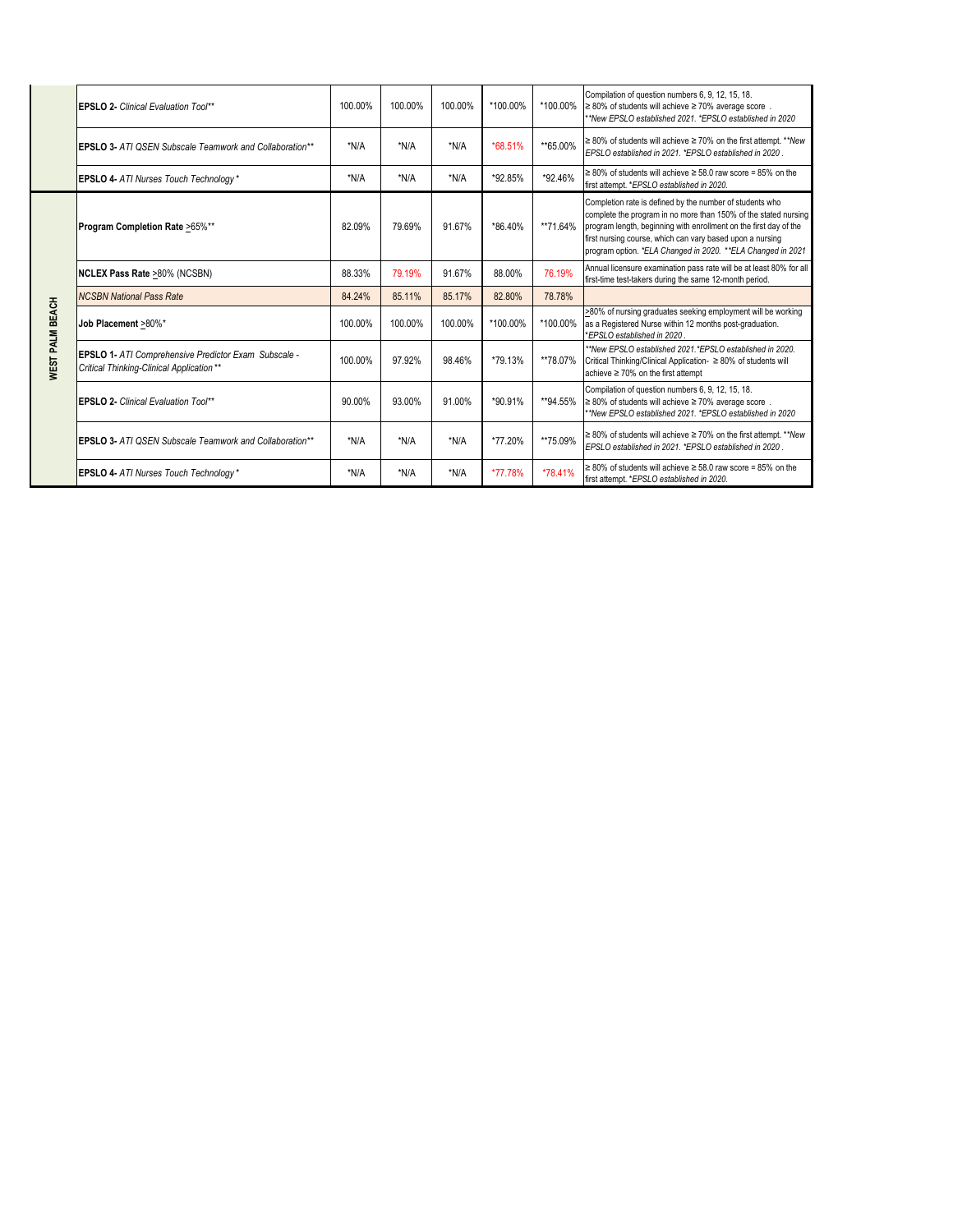|                        | <b>EPSLO 2- Clinical Evaluation Tool**</b>                                                              | 100.00% | 100.00%  | 100.00% | *100.00% | *100.00% | Compilation of question numbers 6, 9, 12, 15, 18.<br>$\geq$ 80% of students will achieve $\geq$ 70% average score.<br>**New EPSLO established 2021, *EPSLO established in 2020                                                                                                                                               |
|------------------------|---------------------------------------------------------------------------------------------------------|---------|----------|---------|----------|----------|------------------------------------------------------------------------------------------------------------------------------------------------------------------------------------------------------------------------------------------------------------------------------------------------------------------------------|
|                        | <b>EPSLO 3- ATI OSEN Subscale Teamwork and Collaboration**</b>                                          | $*N/A$  | *N/A     | *N/A    | *68.51%  | **65.00% | $\geq$ 80% of students will achieve $\geq$ 70% on the first attempt. ** New<br>EPSLO established in 2021. *EPSLO established in 2020.                                                                                                                                                                                        |
|                        | <b>EPSLO 4- ATI Nurses Touch Technology*</b>                                                            | *N/A    | N/A      | *N/A    | *92.85%  | *92.46%  | $\geq$ 80% of students will achieve $\geq$ 58.0 raw score = 85% on the<br>first attempt. *EPSLO established in 2020.                                                                                                                                                                                                         |
| <b>WEST PALM BEACH</b> | Program Completion Rate >65%**                                                                          | 82.09%  | 79.69%   | 91.67%  | *86.40%  | **71.64% | Completion rate is defined by the number of students who<br>complete the program in no more than 150% of the stated nursing<br>program length, beginning with enrollment on the first day of the<br>first nursing course, which can vary based upon a nursing<br>program option. *ELA Changed in 2020. **ELA Changed in 2021 |
|                        | <b>NCLEX Pass Rate &gt;80% (NCSBN)</b>                                                                  | 88.33%  | 79.19%   | 91.67%  | 88.00%   | 76.19%   | Annual licensure examination pass rate will be at least 80% for all<br>first-time test-takers during the same 12-month period.                                                                                                                                                                                               |
|                        | <b>NCSBN National Pass Rate</b>                                                                         | 84.24%  | 85.11%   | 85.17%  | 82.80%   | 78.78%   |                                                                                                                                                                                                                                                                                                                              |
|                        | Job Placement >80%*                                                                                     | 100.00% | 100.00%  | 100.00% | *100.00% | *100.00% | >80% of nursing graduates seeking employment will be working<br>as a Registered Nurse within 12 months post-graduation.<br>*EPSLO established in 2020                                                                                                                                                                        |
|                        | <b>EPSLO 1- ATI Comprehensive Predictor Exam Subscale -</b><br>Critical Thinking-Clinical Application** | 100.00% | 97.92%   | 98.46%  | *79.13%  | **78.07% | **New EPSLO established 2021.*EPSLO established in 2020.<br>Critical Thinking/Clinical Application- ≥ 80% of students will<br>achieve $\geq 70\%$ on the first attempt                                                                                                                                                       |
|                        | <b>EPSLO 2- Clinical Evaluation Tool**</b>                                                              | 90.00%  | 93.00%   | 91.00%  | *90.91%  | **94.55% | Compilation of question numbers 6, 9, 12, 15, 18.<br>$\geq$ 80% of students will achieve $\geq$ 70% average score.<br>**New EPSLO established 2021, *EPSLO established in 2020                                                                                                                                               |
|                        | <b>EPSLO 3- ATI OSEN Subscale Teamwork and Collaboration**</b>                                          | *N/A    | $^*$ N/A | *N/A    | *77.20%  | **75.09% | ≥ 80% of students will achieve ≥ 70% on the first attempt. ** New<br>EPSLO established in 2021. *EPSLO established in 2020.                                                                                                                                                                                                  |
|                        | <b>EPSLO 4- ATI Nurses Touch Technology*</b>                                                            | *N/A    | $^*$ N/A | *N/A    | *77.78%  | *78.41%  | $\geq$ 80% of students will achieve $\geq$ 58.0 raw score = 85% on the<br>first attempt. *EPSLO established in 2020.                                                                                                                                                                                                         |